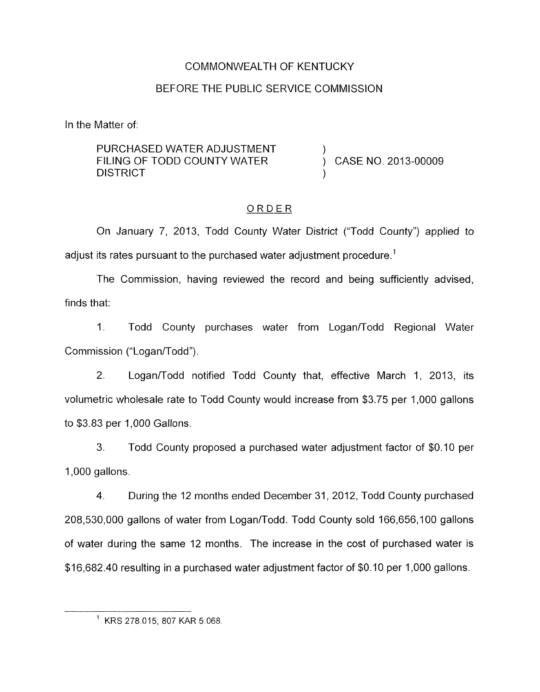## COMMONWEALTH OF KENTUCKY

## BEFORE THE PUBLIC SERVICE COMMISSION

In the Matter of:

PURCHASED WATER ADJUSTMENT **DISTRICT** FILING OF TODD COUNTY WATER  $\overrightarrow{)}$  CASE NO. 2013-00009

## ORDER

On January 7, 2013, Todd County Water District ("Todd County") applied to adjust its rates pursuant to the purchased water adjustment procedure.<sup>1</sup>

The Commission, having reviewed the record and being sufficiently advised, finds that:

1. Todd County purchases water from Logan/Todd Regional Water Commission ("Logan/Todd").

2. Logan/Todd notified Todd County that, effective March 1, 2013, its volumetric wholesale rate to Todd County would increase from \$3.75 per 1,000 gallons to \$3.83 per 1,000 Gallons.

3. Todd County proposed a purchased water adjustment factor of \$0.10 per 1,000 gallons.

4. During the 12 months ended December 31 , 2012, Todd County purchased 208,530,000 gallons of water from Logan/Todd. Todd County sold 166,656, 100 gallons of water during the same 12 months. The increase in the cost of purchased water is \$16,682.40 resulting in a purchased water adjustment factor of \$0.10 per 1,000 gallons.

 $1$  KRS 278.015; 807 KAR 5:068.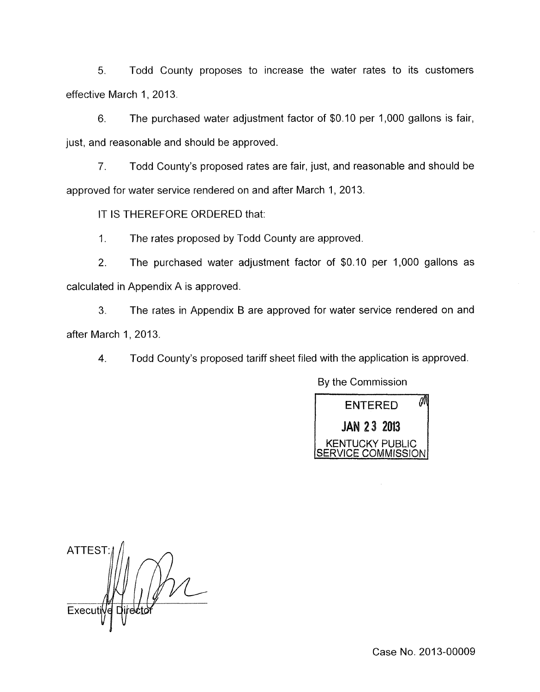5. Todd County proposes to increase the water rates to its customers effective March I, 2013.

6. The purchased water adjustment factor of \$0.1 0 per 1,000 gallons is fair, just, and reasonable and should be approved.

*7.* Todd County's proposed rates are fair, just, and reasonable and should be approved for water service rendered on and after March 1, 2013.

IT IS THEREFORE ORDERED that:

1. The rates proposed by Todd County are approved.

2. The purchased water adjustment factor of \$0.10 per 1,000 gallons as calculated in Appendix A is approved.

**3.** The rates in Appendix B are approved for water service rendered on and after March 1, 2013.

4. Todd County's proposed tariff sheet filed with the application is approved.

By the Commission



**ATTEST** Execut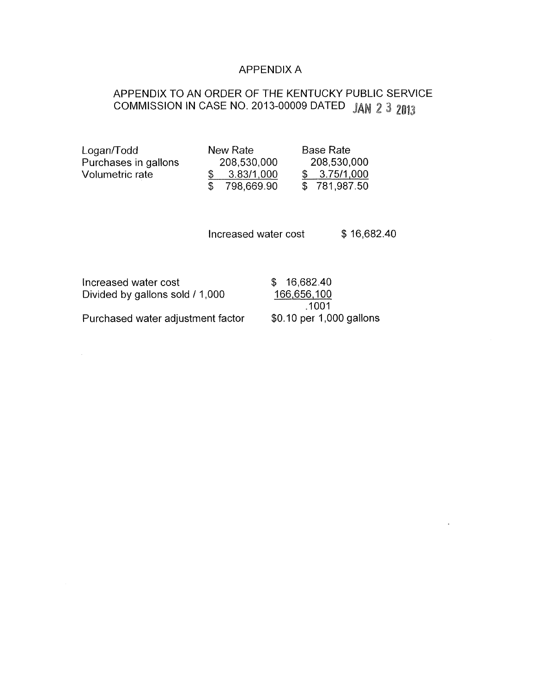### APPENDIX A

# APPENDIX TO AN ORDER OF THE KENTUCKY PUBLIC SERVICE COMMISSION IN CASE NO. 2013-00009 DATED JAN 2 3 2013

| Logan/Todd           | New Rate    | <b>Base Rate</b> |
|----------------------|-------------|------------------|
| Purchases in gallons | 208,530,000 | 208,530,000      |
| Volumetric rate      | 3.83/1,000  | 3.75/1,000       |
|                      | 798,669.90  | \$781,987.50     |

Increased water cost \$16,682.40

Increased water cost  $$ 16,682.40$ <br>Divided by gallons sold / 1,000  $$ 166,656,100$ Divided by gallons sold / 1,000

Purchased water adjustment factor

.1001<br>\$0.10 per 1,000 gallons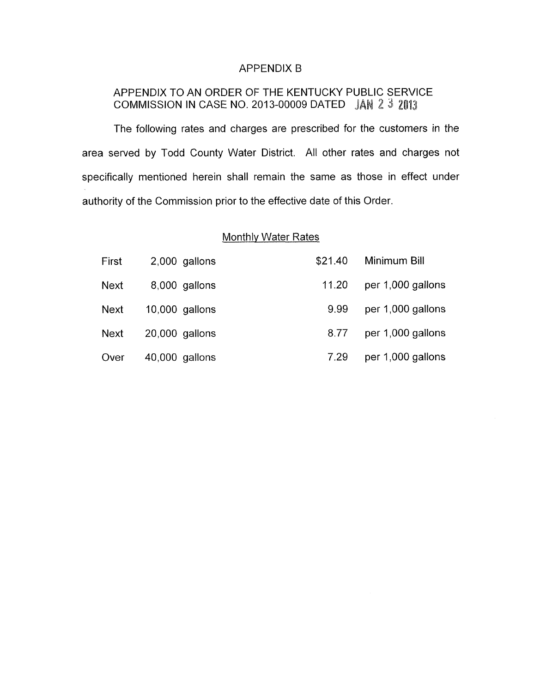### APPENDIX B

## APPENDIX TO AN ORDER OF THE KENTUCKY PUBLIC SERVICE COMMISSION IN CASE NO. 2013-00009 DATED JAN 2 3 2013

The following rates and charges are prescribed for the customers in the area served by Todd County Water District. All other rates and charges not specifically mentioned herein shall remain the same as those in effect under authority of the Commission prior to the effective date of this Order.

#### **Monthly Water Rates**

| First       | 2,000 gallons    | \$21.40 | Minimum Bill      |
|-------------|------------------|---------|-------------------|
| <b>Next</b> | 8,000 gallons    | 11.20   | per 1,000 gallons |
| <b>Next</b> | $10,000$ gallons | 9.99    | per 1,000 gallons |
| <b>Next</b> | $20,000$ gallons | 8.77    | per 1,000 gallons |
| Over        | 40,000 gallons   | 7.29    | per 1,000 gallons |